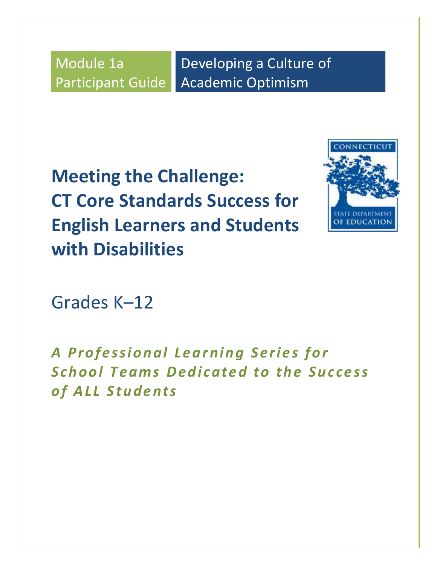Module 1a Participant Guide

Developing a Culture of Academic Optimism

**Meeting the Challenge: CT Core Standards Success for English Learners and Students with Disabilities**



Grades K–12

A Professional Learning Series for **School Teams Dedicated to the Success** *o f A LL Stu d e n ts*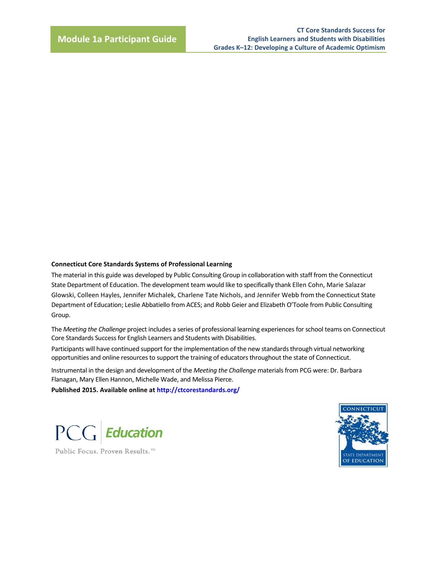#### **Connecticut Core Standards Systems of Professional Learning**

The material in this guide was developed by Public Consulting Group in collaboration with staff from the Connecticut State Department of Education. The development team would like to specifically thank Ellen Cohn, Marie Salazar Glowski, Colleen Hayles, Jennifer Michalek, Charlene Tate Nichols, and Jennifer Webb from the Connecticut State Department of Education; Leslie Abbatiello from ACES; and Robb Geier and Elizabeth O'Toole from Public Consulting Group.

The *Meeting the Challenge* project includes a series of professional learning experiences for school teams on Connecticut Core Standards Success for English Learners and Students with Disabilities.

Participants will have continued support for the implementation of the new standards through virtual networking opportunities and online resources to support the training of educators throughout the state of Connecticut.

Instrumental in the design and development of the *Meeting the Challenge* materials from PCG were: Dr. Barbara Flanagan, Mary Ellen Hannon, Michelle Wade, and Melissa Pierce.

**Published 2015. Available online at<http://ctcorestandards.org/>**



Public Focus. Proven Results.<sup>™</sup>

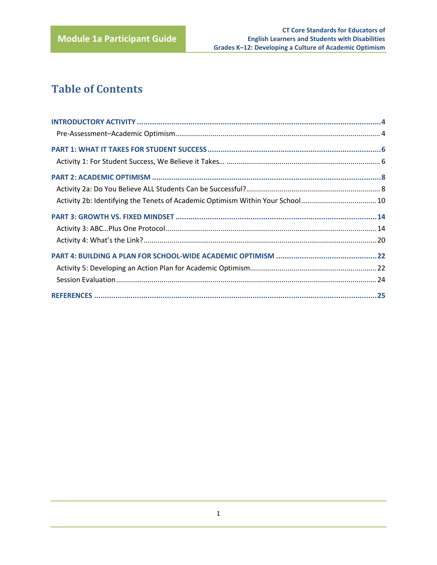# **Table of Contents**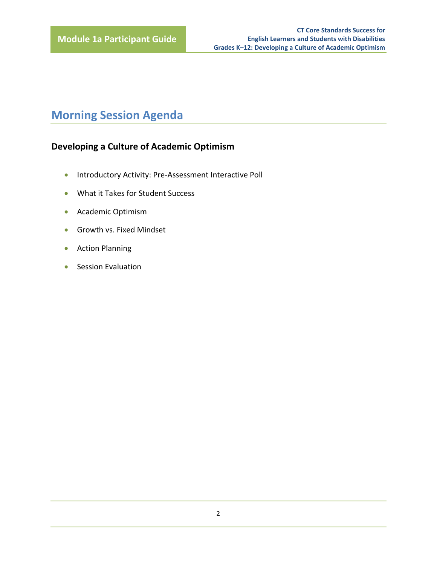# **Morning Session Agenda**

# **Developing a Culture of Academic Optimism**

- **•** Introductory Activity: Pre-Assessment Interactive Poll
- What it Takes for Student Success
- **•** Academic Optimism
- **Growth vs. Fixed Mindset**
- **•** Action Planning
- Session Evaluation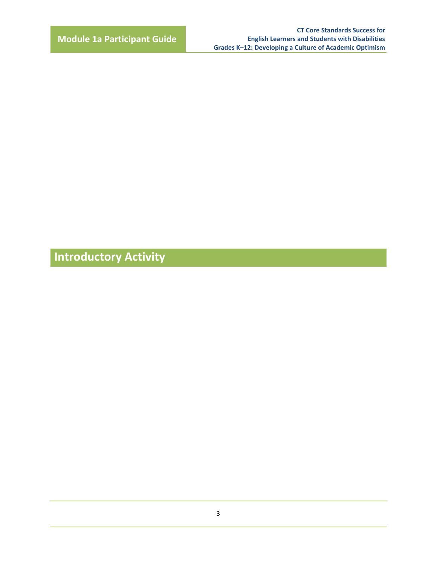**Introductory Activity**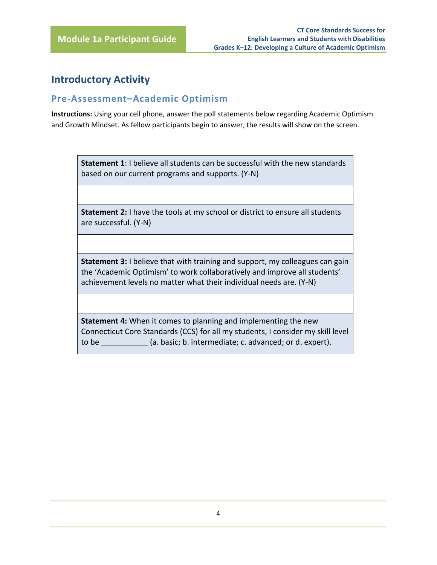# <span id="page-5-0"></span>**Introductory Activity**

## <span id="page-5-1"></span>**Pre-Assessment–Academic Optimism**

**Instructions:** Using your cell phone, answer the poll statements below regarding Academic Optimism and Growth Mindset. As fellow participants begin to answer, the results will show on the screen.

**Statement 1**: I believe all students can be successful with the new standards based on our current programs and supports. (Y-N)

**Statement 2:** I have the tools at my school or district to ensure all students are successful. (Y-N)

**Statement 3:** I believe that with training and support, my colleagues can gain the 'Academic Optimism' to work collaboratively and improve all students' achievement levels no matter what their individual needs are. (Y-N)

**Statement 4:** When it comes to planning and implementing the new Connecticut Core Standards (CCS) for all my students, I consider my skill level to be \_\_\_\_\_\_\_\_\_\_\_ (a. basic; b. intermediate; c. advanced; or d. expert).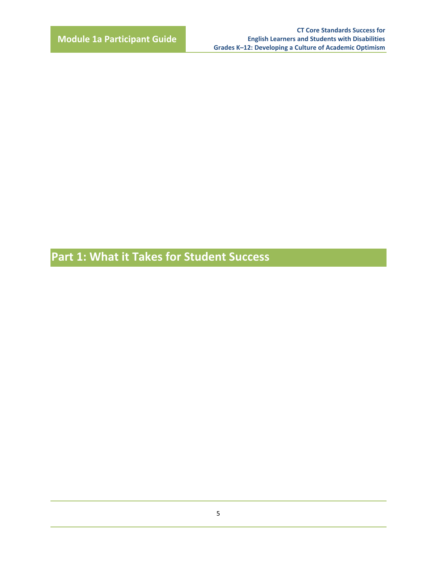**Part 1: What it Takes for Student Success**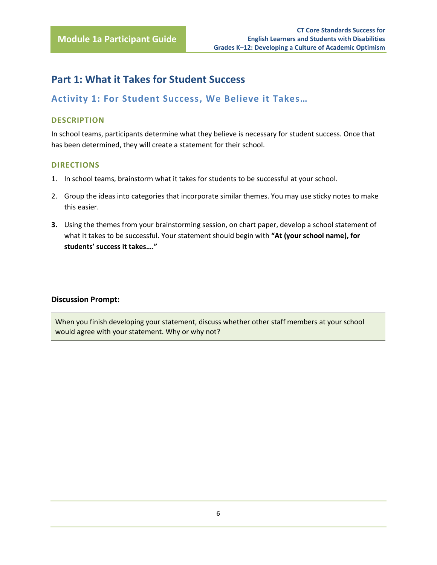# <span id="page-7-0"></span>**Part 1: What it Takes for Student Success**

## <span id="page-7-1"></span>**Activity 1: For Student Success, We Believe it Takes…**

#### **DESCRIPTION**

In school teams, participants determine what they believe is necessary for student success. Once that has been determined, they will create a statement for their school.

#### **DIRECTIONS**

- 1. In school teams, brainstorm what it takes for students to be successful at your school.
- 2. Group the ideas into categories that incorporate similar themes. You may use sticky notes to make this easier.
- **3.** Using the themes from your brainstorming session, on chart paper, develop a school statement of what it takes to be successful. Your statement should begin with **"At (your school name), for students' success it takes…."**

#### **Discussion Prompt:**

When you finish developing your statement, discuss whether other staff members at your school would agree with your statement. Why or why not?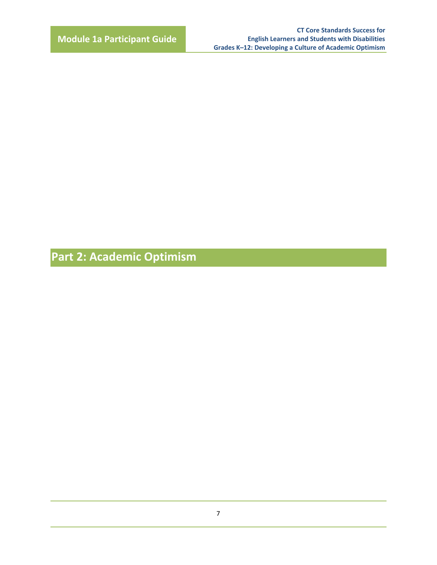**Part 2: Academic Optimism**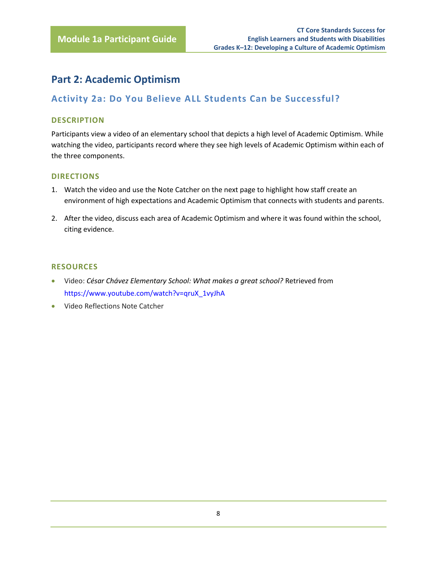# <span id="page-9-0"></span>**Part 2: Academic Optimism**

## <span id="page-9-1"></span>**Activity 2a: Do You Believe ALL Students Can be Successful?**

#### **DESCRIPTION**

Participants view a video of an elementary school that depicts a high level of Academic Optimism. While watching the video, participants record where they see high levels of Academic Optimism within each of the three components.

#### **DIRECTIONS**

- 1. Watch the video and use the Note Catcher on the next page to highlight how staff create an environment of high expectations and Academic Optimism that connects with students and parents.
- 2. After the video, discuss each area of Academic Optimism and where it was found within the school, citing evidence.

#### **RESOURCES**

- Video: *[César Chávez Elementary School: What makes a great school?](https://www.youtube.com/watch?v=qruX_1vyJhA)* Retrieved from [https://www.youtube.com/watch?v=qruX\\_1vyJhA](https://www.youtube.com/watch?v=qruX_1vyJhA)
- Video Reflections Note Catcher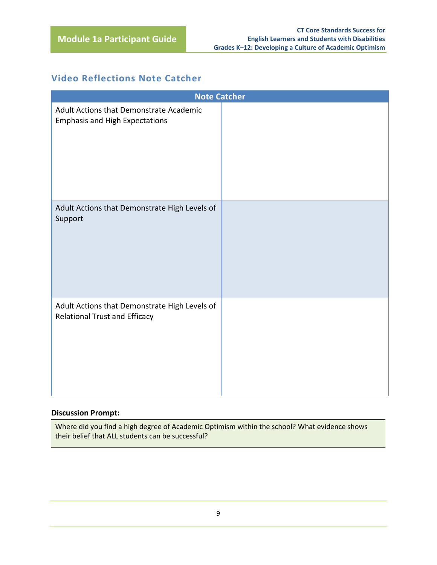# **Video Reflections Note Catcher**

| <b>Note Catcher</b>                                                                   |  |  |  |  |
|---------------------------------------------------------------------------------------|--|--|--|--|
| Adult Actions that Demonstrate Academic<br><b>Emphasis and High Expectations</b>      |  |  |  |  |
| Adult Actions that Demonstrate High Levels of<br>Support                              |  |  |  |  |
| Adult Actions that Demonstrate High Levels of<br><b>Relational Trust and Efficacy</b> |  |  |  |  |

#### **Discussion Prompt:**

Where did you find a high degree of Academic Optimism within the school? What evidence shows their belief that ALL students can be successful?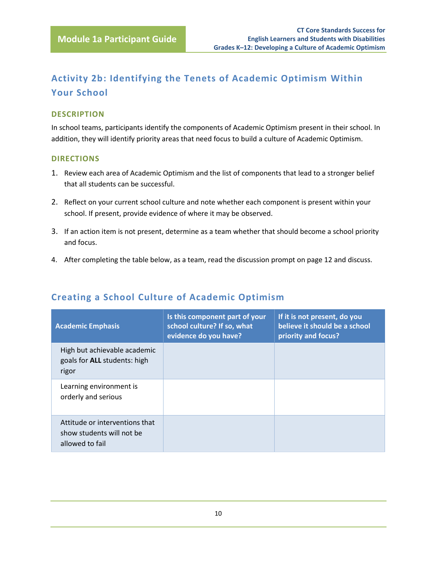# <span id="page-11-0"></span>**Activity 2b: Identifying the Tenets of Academic Optimism Within Your School**

#### **DESCRIPTION**

In school teams, participants identify the components of Academic Optimism present in their school. In addition, they will identify priority areas that need focus to build a culture of Academic Optimism.

#### **DIRECTIONS**

- 1. Review each area of Academic Optimism and the list of components that lead to a stronger belief that all students can be successful.
- 2. Reflect on your current school culture and note whether each component is present within your school. If present, provide evidence of where it may be observed.
- 3. If an action item is not present, determine as a team whether that should become a school priority and focus.
- 4. After completing the table below, as a team, read the discussion prompt on page 12 and discuss.

| <b>Academic Emphasis</b>                                                       | Is this component part of your<br>school culture? If so, what<br>evidence do you have? | If it is not present, do you<br>believe it should be a school<br>priority and focus? |
|--------------------------------------------------------------------------------|----------------------------------------------------------------------------------------|--------------------------------------------------------------------------------------|
| High but achievable academic<br>goals for ALL students: high<br>rigor          |                                                                                        |                                                                                      |
| Learning environment is<br>orderly and serious                                 |                                                                                        |                                                                                      |
| Attitude or interventions that<br>show students will not be<br>allowed to fail |                                                                                        |                                                                                      |

## **Creating a School Culture of Academic Optimism**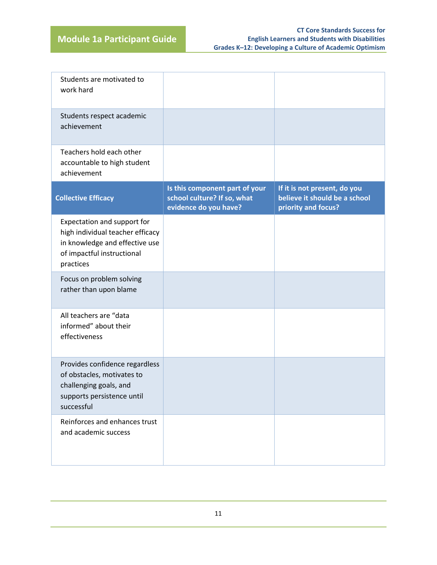| Students are motivated to<br>work hard                                                                                                       |                                                                                        |                                                                                      |
|----------------------------------------------------------------------------------------------------------------------------------------------|----------------------------------------------------------------------------------------|--------------------------------------------------------------------------------------|
| Students respect academic<br>achievement                                                                                                     |                                                                                        |                                                                                      |
| Teachers hold each other<br>accountable to high student<br>achievement                                                                       |                                                                                        |                                                                                      |
| <b>Collective Efficacy</b>                                                                                                                   | Is this component part of your<br>school culture? If so, what<br>evidence do you have? | If it is not present, do you<br>believe it should be a school<br>priority and focus? |
| Expectation and support for<br>high individual teacher efficacy<br>in knowledge and effective use<br>of impactful instructional<br>practices |                                                                                        |                                                                                      |
| Focus on problem solving<br>rather than upon blame                                                                                           |                                                                                        |                                                                                      |
| All teachers are "data<br>informed" about their<br>effectiveness                                                                             |                                                                                        |                                                                                      |
| Provides confidence regardless<br>of obstacles, motivates to<br>challenging goals, and<br>supports persistence until<br>successful           |                                                                                        |                                                                                      |
| Reinforces and enhances trust<br>and academic success                                                                                        |                                                                                        |                                                                                      |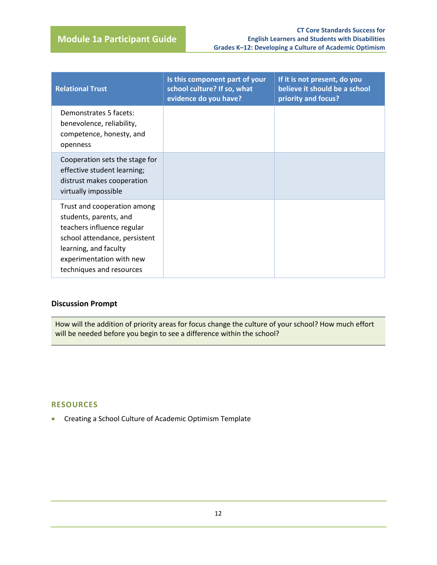| <b>Relational Trust</b>                                                                                                                                                                               | Is this component part of your<br>school culture? If so, what<br>evidence do you have? | If it is not present, do you<br>believe it should be a school<br>priority and focus? |
|-------------------------------------------------------------------------------------------------------------------------------------------------------------------------------------------------------|----------------------------------------------------------------------------------------|--------------------------------------------------------------------------------------|
| Demonstrates 5 facets:<br>benevolence, reliability,<br>competence, honesty, and<br>openness                                                                                                           |                                                                                        |                                                                                      |
| Cooperation sets the stage for<br>effective student learning;<br>distrust makes cooperation<br>virtually impossible                                                                                   |                                                                                        |                                                                                      |
| Trust and cooperation among<br>students, parents, and<br>teachers influence regular<br>school attendance, persistent<br>learning, and faculty<br>experimentation with new<br>techniques and resources |                                                                                        |                                                                                      |

#### **Discussion Prompt**

How will the addition of priority areas for focus change the culture of your school? How much effort will be needed before you begin to see a difference within the school?

#### **RESOURCES**

Creating a School Culture of Academic Optimism Template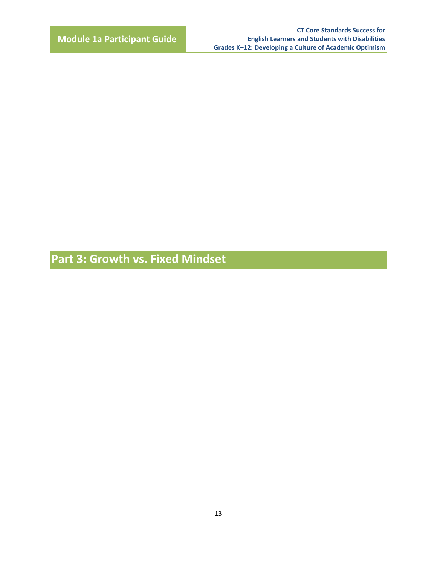**Part 3: Growth vs. Fixed Mindset**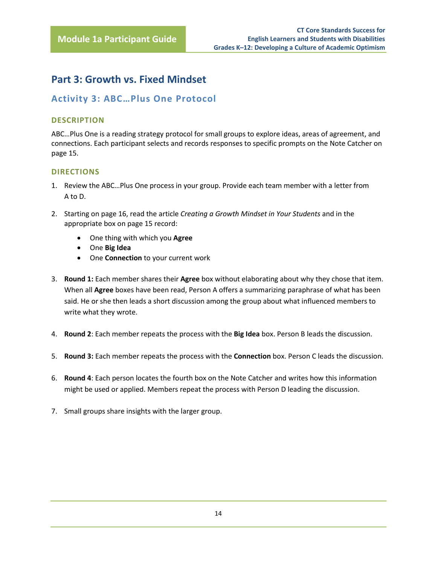# <span id="page-15-0"></span>**Part 3: Growth vs. Fixed Mindset**

## <span id="page-15-1"></span>**Activity 3: ABC…Plus One Protocol**

#### **DESCRIPTION**

ABC…Plus One is a reading strategy protocol for small groups to explore ideas, areas of agreement, and connections. Each participant selects and records responses to specific prompts on the Note Catcher on page 15.

#### **DIRECTIONS**

- 1. Review the ABC…Plus One process in your group. Provide each team member with a letter from A to D.
- 2. Starting on page 16, read the article *Creating a Growth Mindset in Your Students* and in the appropriate box on page 15 record:
	- One thing with which you **Agree**
	- One **Big Idea**
	- One **Connection** to your current work
- 3. **Round 1:** Each member shares their **Agree** box without elaborating about why they chose that item. When all **Agree** boxes have been read, Person A offers a summarizing paraphrase of what has been said. He or she then leads a short discussion among the group about what influenced members to write what they wrote.
- 4. **Round 2**: Each member repeats the process with the **Big Idea** box. Person B leads the discussion.
- 5. **Round 3:** Each member repeats the process with the **Connection** box. Person C leads the discussion.
- 6. **Round 4**: Each person locates the fourth box on the Note Catcher and writes how this information might be used or applied. Members repeat the process with Person D leading the discussion.
- 7. Small groups share insights with the larger group.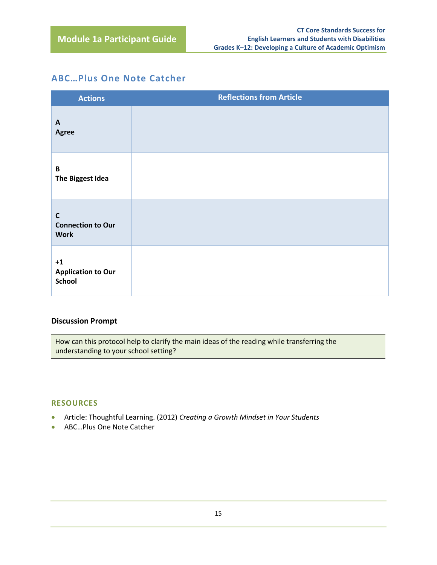## **ABC…Plus One Note Catcher**

| <b>Actions</b>                                         | <b>Reflections from Article</b> |
|--------------------------------------------------------|---------------------------------|
| $\mathsf{A}$<br>Agree                                  |                                 |
| $\mathbf B$<br>The Biggest Idea                        |                                 |
| $\mathbf c$<br><b>Connection to Our</b><br><b>Work</b> |                                 |
| $+1$<br><b>Application to Our</b><br><b>School</b>     |                                 |

#### **Discussion Prompt**

How can this protocol help to clarify the main ideas of the reading while transferring the understanding to your school setting?

#### **RESOURCES**

- Article: Thoughtful Learning. (2012) *Creating a Growth Mindset in Your Students*
- ABC…Plus One Note Catcher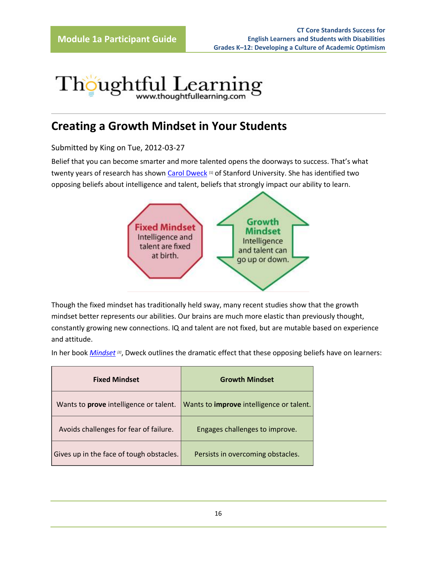# Thoughtful Learning

# **Creating a Growth Mindset in Your Students**

Submitted by King on Tue, 2012-03-27

Belief that you can become smarter and more talented opens the doorways to success. That's what twenty years of research has shown [Carol Dweck](http://mindsetonline.com/abouttheauthor/index.html) [1] of Stanford University. She has identified two opposing beliefs about intelligence and talent, beliefs that strongly impact our ability to learn.



Though the fixed mindset has traditionally held sway, many recent studies show that the growth mindset better represents our abilities. Our brains are much more elastic than previously thought, constantly growing new connections. IQ and talent are not fixed, but are mutable based on experience and attitude.

In her book *[Mindset](http://mindsetonline.com/whatisit/about/index.html) [2]*, Dweck outlines the dramatic effect that these opposing beliefs have on learners:

| <b>Fixed Mindset</b>                          | <b>Growth Mindset</b>                           |
|-----------------------------------------------|-------------------------------------------------|
| Wants to <b>prove</b> intelligence or talent. | Wants to <i>improve</i> intelligence or talent. |
| Avoids challenges for fear of failure.        | Engages challenges to improve.                  |
| Gives up in the face of tough obstacles.      | Persists in overcoming obstacles.               |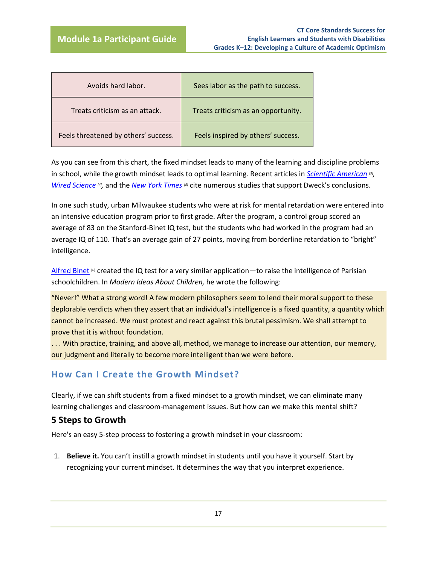| Avoids hard labor.                   | Sees labor as the path to success.  |
|--------------------------------------|-------------------------------------|
| Treats criticism as an attack.       | Treats criticism as an opportunity. |
| Feels threatened by others' success. | Feels inspired by others' success.  |

As you can see from this chart, the fixed mindset leads to many of the learning and discipline problems in school, while the growth mindset leads to optimal learning. Recent articles in *[Scientific American](http://blogs.scientificamerican.com/literally-psyched/2012/02/18/hamlet-and-the-power-of-beliefs-to-shape-reality) [3] , [Wired Science](http://www.wired.com/wiredscience/2011/10/why-do-some-people-learn-faster-2) [4] ,* and the *[New York Times](http://www.nytimes.com/2009/04/16/opinion/16kristof.html) [5]* cite numerous studies that support Dweck's conclusions.

In one such study, urban Milwaukee students who were at risk for mental retardation were entered into an intensive education program prior to first grade. After the program, a control group scored an average of 83 on the Stanford-Binet IQ test, but the students who had worked in the program had an average IQ of 110. That's an average gain of 27 points, moving from borderline retardation to "bright" intelligence.

[Alfred Binet](http://www.indiana.edu/~intell/binet.shtml) [6] created the IQ test for a very similar application—to raise the intelligence of Parisian schoolchildren. In *Modern Ideas About Children,* he wrote the following:

"Never!" What a strong word! A few modern philosophers seem to lend their moral support to these deplorable verdicts when they assert that an individual's intelligence is a fixed quantity, a quantity which cannot be increased. We must protest and react against this brutal pessimism. We shall attempt to prove that it is without foundation.

. . . With practice, training, and above all, method, we manage to increase our attention, our memory, our judgment and literally to become more intelligent than we were before.

## **How Can I Create the Growth Mindset?**

Clearly, if we can shift students from a fixed mindset to a growth mindset, we can eliminate many learning challenges and classroom-management issues. But how can we make this mental shift?

#### **5 Steps to Growth**

Here's an easy 5-step process to fostering a growth mindset in your classroom:

1. **Believe it.** You can't instill a growth mindset in students until you have it yourself. Start by recognizing your current mindset. It determines the way that you interpret experience.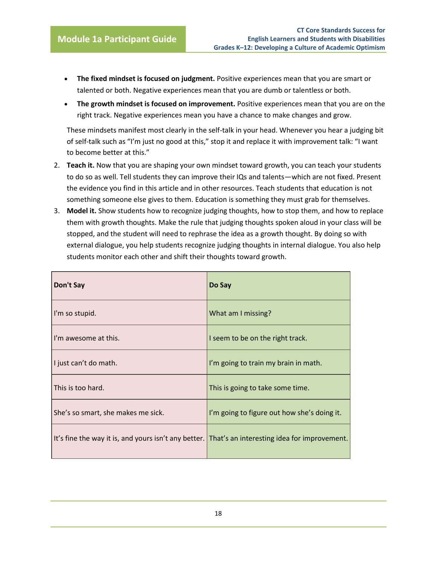- **The fixed mindset is focused on judgment.** Positive experiences mean that you are smart or talented or both. Negative experiences mean that you are dumb or talentless or both.
- **The growth mindset is focused on improvement.** Positive experiences mean that you are on the right track. Negative experiences mean you have a chance to make changes and grow.

These mindsets manifest most clearly in the self-talk in your head. Whenever you hear a judging bit of self-talk such as "I'm just no good at this," stop it and replace it with improvement talk: "I want to become better at this."

- 2. **Teach it.** Now that you are shaping your own mindset toward growth, you can teach your students to do so as well. Tell students they can improve their IQs and talents—which are not fixed. Present the evidence you find in this article and in other resources. Teach students that education is not something someone else gives to them. Education is something they must grab for themselves.
- 3. **Model it.** Show students how to recognize judging thoughts, how to stop them, and how to replace them with growth thoughts. Make the rule that judging thoughts spoken aloud in your class will be stopped, and the student will need to rephrase the idea as a growth thought. By doing so with external dialogue, you help students recognize judging thoughts in internal dialogue. You also help students monitor each other and shift their thoughts toward growth.

| Don't Say                                                                                        | Do Say                                      |
|--------------------------------------------------------------------------------------------------|---------------------------------------------|
| I'm so stupid.                                                                                   | What am I missing?                          |
| I'm awesome at this.                                                                             | I seem to be on the right track.            |
| I just can't do math.                                                                            | I'm going to train my brain in math.        |
| This is too hard.                                                                                | This is going to take some time.            |
| She's so smart, she makes me sick.                                                               | I'm going to figure out how she's doing it. |
| It's fine the way it is, and yours isn't any better. That's an interesting idea for improvement. |                                             |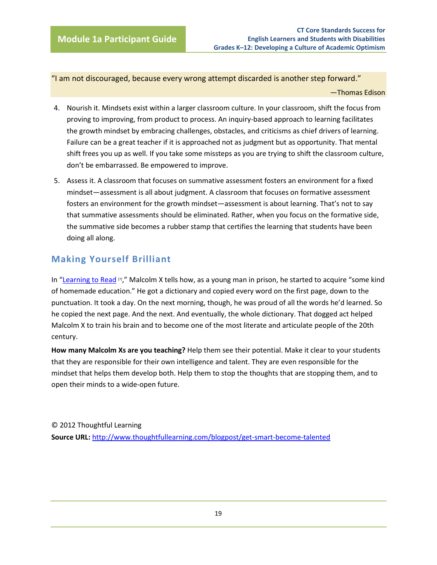"I am not discouraged, because every wrong attempt discarded is another step forward."

—Thomas Edison

- 4. Nourish it. Mindsets exist within a larger classroom culture. In your classroom, shift the focus from proving to improving, from product to process. An inquiry-based approach to learning facilitates the growth mindset by embracing challenges, obstacles, and criticisms as chief drivers of learning. Failure can be a great teacher if it is approached not as judgment but as opportunity. That mental shift frees you up as well. If you take some missteps as you are trying to shift the classroom culture, don't be embarrassed. Be empowered to improve.
- 5. Assess it. A classroom that focuses on summative assessment fosters an environment for a fixed mindset—assessment is all about judgment. A classroom that focuses on formative assessment fosters an environment for the growth mindset—assessment is about learning. That's not to say that summative assessments should be eliminated. Rather, when you focus on the formative side, the summative side becomes a rubber stamp that certifies the learning that students have been doing all along.

## **Making Yourself Brilliant**

In "[Learning to Read](http://www.smccd.net/accounts/bellr/ReaderLearningtoRead.htm)  $\mathbb{Z}$ ," Malcolm X tells how, as a young man in prison, he started to acquire "some kind of homemade education." He got a dictionary and copied every word on the first page, down to the punctuation. It took a day. On the next morning, though, he was proud of all the words he'd learned. So he copied the next page. And the next. And eventually, the whole dictionary. That dogged act helped Malcolm X to train his brain and to become one of the most literate and articulate people of the 20th century.

**How many Malcolm Xs are you teaching?** Help them see their potential. Make it clear to your students that they are responsible for their own intelligence and talent. They are even responsible for the mindset that helps them develop both. Help them to stop the thoughts that are stopping them, and to open their minds to a wide-open future.

© 2012 Thoughtful Learning **Source URL:** <http://www.thoughtfullearning.com/blogpost/get-smart-become-talented>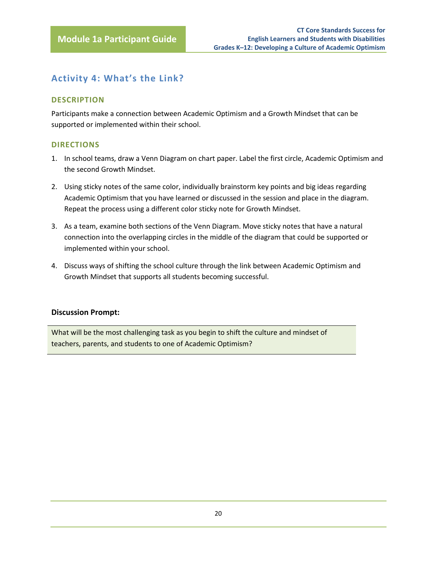# <span id="page-21-0"></span>**Activity 4: What's the Link?**

#### **DESCRIPTION**

Participants make a connection between Academic Optimism and a Growth Mindset that can be supported or implemented within their school.

#### **DIRECTIONS**

- 1. In school teams, draw a Venn Diagram on chart paper. Label the first circle, Academic Optimism and the second Growth Mindset.
- 2. Using sticky notes of the same color, individually brainstorm key points and big ideas regarding Academic Optimism that you have learned or discussed in the session and place in the diagram. Repeat the process using a different color sticky note for Growth Mindset.
- 3. As a team, examine both sections of the Venn Diagram. Move sticky notes that have a natural connection into the overlapping circles in the middle of the diagram that could be supported or implemented within your school.
- 4. Discuss ways of shifting the school culture through the link between Academic Optimism and Growth Mindset that supports all students becoming successful.

#### **Discussion Prompt:**

What will be the most challenging task as you begin to shift the culture and mindset of teachers, parents, and students to one of Academic Optimism?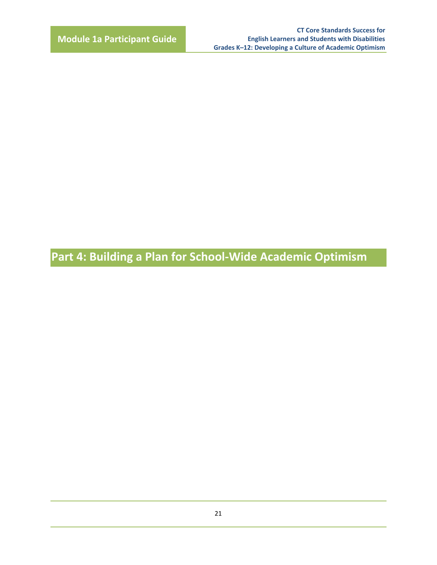**Part 4: Building a Plan for School-Wide Academic Optimism**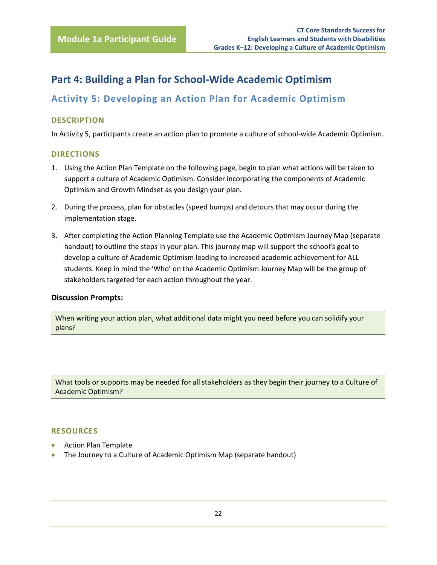# <span id="page-23-0"></span>**Part 4: Building a Plan for School-Wide Academic Optimism**

# <span id="page-23-1"></span>**Activity 5: Developing an Action Plan for Academic Optimism**

#### **DESCRIPTION**

In Activity 5, participants create an action plan to promote a culture of school-wide Academic Optimism.

#### **DIRECTIONS**

- 1. Using the Action Plan Template on the following page, begin to plan what actions will be taken to support a culture of Academic Optimism. Consider incorporating the components of Academic Optimism and Growth Mindset as you design your plan.
- 2. During the process, plan for obstacles (speed bumps) and detours that may occur during the implementation stage.
- 3. After completing the Action Planning Template use the Academic Optimism Journey Map (separate handout) to outline the steps in your plan. This journey map will support the school's goal to develop a culture of Academic Optimism leading to increased academic achievement for ALL students. Keep in mind the 'Who' on the Academic Optimism Journey Map will be the group of stakeholders targeted for each action throughout the year.

#### **Discussion Prompts:**

When writing your action plan, what additional data might you need before you can solidify your plans?

What tools or supports may be needed for all stakeholders as they begin their journey to a Culture of Academic Optimism?

#### **RESOURCES**

- Action Plan Template
- The Journey to a Culture of Academic Optimism Map (separate handout)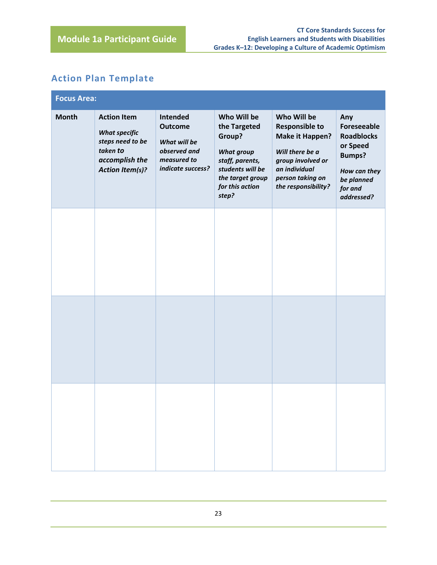# **Action Plan Template**

| <b>Focus Area:</b> |                                                                                                                        |                                                                                                |                                                                                                                                                   |                                                                                                                                                             |                                                                                                                                    |
|--------------------|------------------------------------------------------------------------------------------------------------------------|------------------------------------------------------------------------------------------------|---------------------------------------------------------------------------------------------------------------------------------------------------|-------------------------------------------------------------------------------------------------------------------------------------------------------------|------------------------------------------------------------------------------------------------------------------------------------|
| <b>Month</b>       | <b>Action Item</b><br><b>What specific</b><br>steps need to be<br>taken to<br>accomplish the<br><b>Action Item(s)?</b> | Intended<br><b>Outcome</b><br>What will be<br>observed and<br>measured to<br>indicate success? | Who Will be<br>the Targeted<br>Group?<br><b>What group</b><br>staff, parents,<br>students will be<br>the target group<br>for this action<br>step? | Who Will be<br><b>Responsible to</b><br>Make it Happen?<br>Will there be a<br>group involved or<br>an individual<br>person taking on<br>the responsibility? | Any<br><b>Foreseeable</b><br><b>Roadblocks</b><br>or Speed<br><b>Bumps?</b><br>How can they<br>be planned<br>for and<br>addressed? |
|                    |                                                                                                                        |                                                                                                |                                                                                                                                                   |                                                                                                                                                             |                                                                                                                                    |
|                    |                                                                                                                        |                                                                                                |                                                                                                                                                   |                                                                                                                                                             |                                                                                                                                    |
|                    |                                                                                                                        |                                                                                                |                                                                                                                                                   |                                                                                                                                                             |                                                                                                                                    |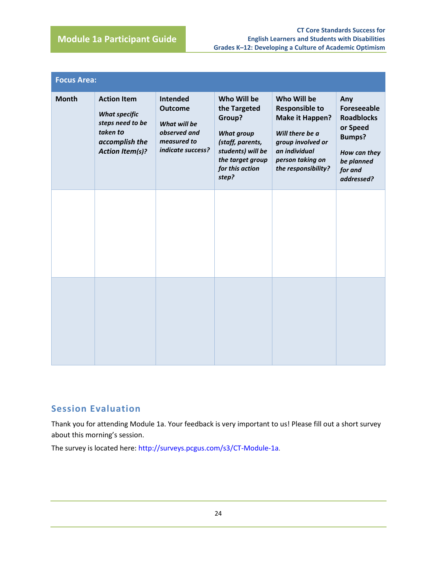| <b>Focus Area:</b> |                                                                                                                        |                                                                                                |                                                                                                                                                     |                                                                                                                                                                    |                                                                                                                                    |
|--------------------|------------------------------------------------------------------------------------------------------------------------|------------------------------------------------------------------------------------------------|-----------------------------------------------------------------------------------------------------------------------------------------------------|--------------------------------------------------------------------------------------------------------------------------------------------------------------------|------------------------------------------------------------------------------------------------------------------------------------|
| <b>Month</b>       | <b>Action Item</b><br><b>What specific</b><br>steps need to be<br>taken to<br>accomplish the<br><b>Action Item(s)?</b> | Intended<br><b>Outcome</b><br>What will be<br>observed and<br>measured to<br>indicate success? | Who Will be<br>the Targeted<br>Group?<br><b>What group</b><br>(staff, parents,<br>students) will be<br>the target group<br>for this action<br>step? | Who Will be<br><b>Responsible to</b><br><b>Make it Happen?</b><br>Will there be a<br>group involved or<br>an individual<br>person taking on<br>the responsibility? | Any<br><b>Foreseeable</b><br><b>Roadblocks</b><br>or Speed<br><b>Bumps?</b><br>How can they<br>be planned<br>for and<br>addressed? |
|                    |                                                                                                                        |                                                                                                |                                                                                                                                                     |                                                                                                                                                                    |                                                                                                                                    |
|                    |                                                                                                                        |                                                                                                |                                                                                                                                                     |                                                                                                                                                                    |                                                                                                                                    |

## <span id="page-25-0"></span>**Session Evaluation**

Thank you for attending Module 1a. Your feedback is very important to us! Please fill out a short survey about this morning's session.

The survey is located here: <http://surveys.pcgus.com/s3/CT-Module-1a>.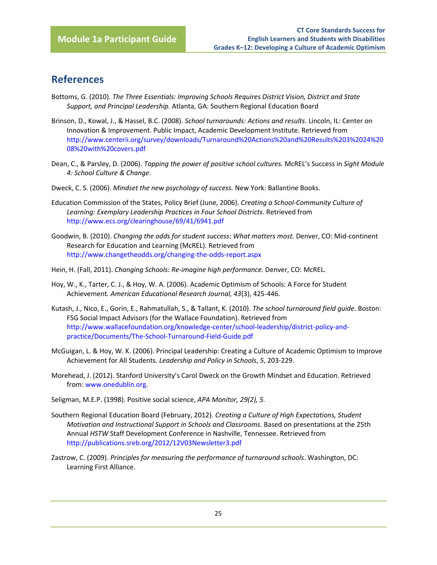# <span id="page-26-0"></span>**References**

- Bottoms, G. (2010). *The Three Essentials: Improving Schools Requires District Vision, District and State Support, and Principal Leadership.* Atlanta, GA: Southern Regional Education Board
- Brinson, D., Kowal, J., & Hassel, B.C. (2008). *School turnarounds: Actions and results*. Lincoln, IL: Center on Innovation & Improvement. Public Impact, Academic Development Institute. Retrieved from [http://www.centerii.org/survey/downloads/Turnaround%20Actions%20and%20Results%203%2024%20](http://www.centerii.org/survey/downloads/Turnaround%20Actions%20and%20Results%203%2024%2008%20with%20covers.pdf) [08%20with%20covers.pdf](http://www.centerii.org/survey/downloads/Turnaround%20Actions%20and%20Results%203%2024%2008%20with%20covers.pdf)
- Dean, C., & Parsley, D. (2006). *Tapping the power of positive school cultures.* McREL's Success in *Sight Module 4: School Culture & Change*.
- Dweck, C. S. (2006). *Mindset the new psychology of success.* New York: Ballantine Books.
- Education Commission of the States, Policy Brief (June, 2006). *Creating a School-Community Culture of Learning: Exemplary Leadership Practices in Four School Districts.* Retrieved from <http://www.ecs.org/clearinghouse/69/41/6941.pdf>
- Goodwin, B. (2010). *Changing the odds for student success: What matters most.* Denver, CO: Mid-continent Research for Education and Learning (McREL). Retrieved from <http://www.changetheodds.org/changing-the-odds-report.aspx>
- Hein, H. (Fall, 2011). *Changing Schools*: *Re-imagine high performance.* Denver, CO: McREL.
- Hoy, W., K., Tarter, C. J., & Hoy, W. A. (2006). Academic Optimism of Schools: A Force for Student Achievement*. American Educational Research Journal, 43*(3), 425-446.
- Kutash, J., Nico, E., Gorin, E., Rahmatullah, S., & Tallant, K. (2010). *The school turnaround field guide*. Boston: FSG Social Impact Advisors (for the Wallace Foundation). Retrieved from [http://www.wallacefoundation.org/knowledge-center/school-leadership/district-policy-and](http://www.wallacefoundation.org/knowledge-center/school-leadership/district-policy-and-practice/Documents/The-School-Turnaround-Field-Guide.pdf)[practice/Documents/The-School-Turnaround-Field-Guide.pdf](http://www.wallacefoundation.org/knowledge-center/school-leadership/district-policy-and-practice/Documents/The-School-Turnaround-Field-Guide.pdf)
- McGuigan, L. & Hoy, W. K. (2006). Principal Leadership: Creating a Culture of Academic Optimism to Improve Achievement for All Students*. Leadership and Policy in Schools*, *5*, 203-229.
- Morehead, J. (2012). Stanford University's Carol Dweck on the Growth Mindset and Education. Retrieved from[: www.onedublin.org.](http://www.onedublin.org/)
- Seligman, M.E.P. (1998). Positive social science, *APA Monitor, 29(2), 5.*
- Southern Regional Education Board (February, 2012). *Creating a Culture of High Expectations, Student Motivation and Instructional Support in Schools and Classrooms.* Based on presentations at the 25th Annual *HSTW* Staff Development Conference in Nashville, Tennessee. Retrieved from <http://publications.sreb.org/2012/12V03Newsletter3.pdf>
- Zastrow, C. (2009). *Principles for measuring the performance of turnaround schools*. Washington, DC: Learning First Alliance.